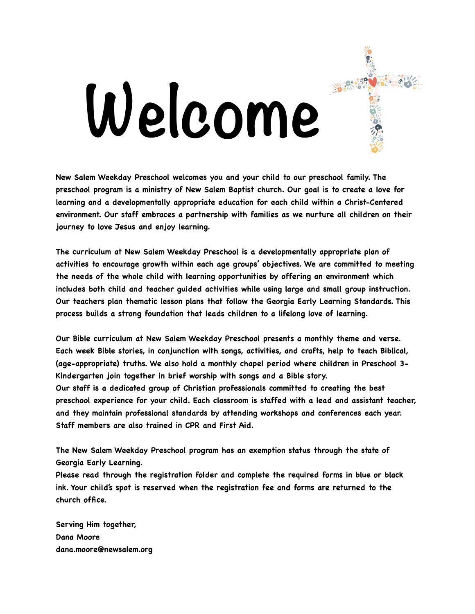# **Welcome**

**New Salem Weekday Preschool welcomes you and your child to our preschool family. The preschool program is a ministry of New Salem Baptist church. Our goal is to create a love for learning and a developmentally appropriate education for each child within a Christ-Centered environment. Our staff embraces a partnership with families as we nurture all children on their journey to love Jesus and enjoy learning.** 

**The curriculum at New Salem Weekday Preschool is a developmentally appropriate plan of activities to encourage growth within each age groups' objectives. We are committed to meeting the needs of the whole child with learning opportunities by offering an environment which includes both child and teacher guided activities while using large and small group instruction. Our teachers plan thematic lesson plans that follow the Georgia Early Learning Standards. This process builds a strong foundation that leads children to a lifelong love of learning.** 

**Our Bible curriculum at New Salem Weekday Preschool presents a monthly theme and verse. Each week Bible stories, in conjunction with songs, activities, and crafts, help to teach Biblical, (age-appropriate) truths. We also hold a monthly chapel period where children in Preschool 3- Kindergarten join together in brief worship with songs and a Bible story. Our staff is a dedicated group of Christian professionals committed to creating the best preschool experience for your child. Each classroom is staffed with a lead and assistant teacher, and they maintain professional standards by attending workshops and conferences each year. Staff members are also trained in CPR and First Aid.** 

**The New Salem Weekday Preschool program has an exemption status through the state of Georgia Early Learning.** 

**Please read through the registration folder and complete the required forms in blue or black ink. Your child's spot is reserved when the registration fee and forms are returned to the church office.** 

**Serving Him together, Dana Moore dana.moore@newsalem.org**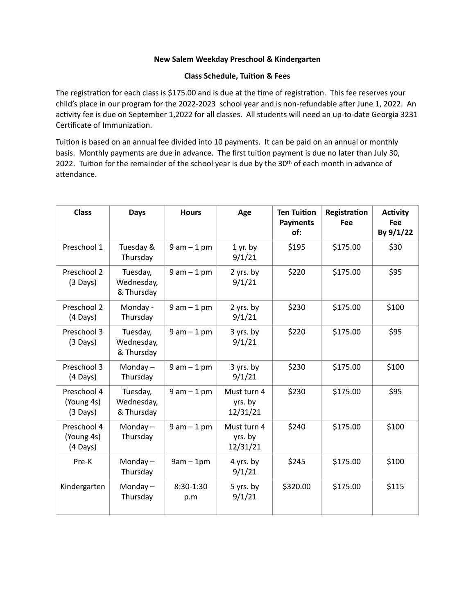## **New Salem Weekday Preschool & Kindergarten**

### **Class Schedule, Tuition & Fees**

The registration for each class is \$175.00 and is due at the time of registration. This fee reserves your child's place in our program for the 2022-2023 school year and is non-refundable after June 1, 2022. An activity fee is due on September 1,2022 for all classes. All students will need an up-to-date Georgia 3231 Certificate of Immunization.

Tuition is based on an annual fee divided into 10 payments. It can be paid on an annual or monthly basis. Monthly payments are due in advance. The first tuition payment is due no later than July 30, 2022. Tuition for the remainder of the school year is due by the 30<sup>th</sup> of each month in advance of attendance.

| <b>Class</b>                                    | <b>Days</b>                          | <b>Hours</b>       | Age                                | <b>Ten Tuition</b><br><b>Payments</b><br>of: | Registration<br>Fee | <b>Activity</b><br><b>Fee</b><br>By 9/1/22 |
|-------------------------------------------------|--------------------------------------|--------------------|------------------------------------|----------------------------------------------|---------------------|--------------------------------------------|
| Preschool 1                                     | Tuesday &<br>Thursday                | $9 am - 1 pm$      | $1$ yr. by<br>9/1/21               | \$195                                        | \$175.00            | \$30                                       |
| Preschool 2<br>$(3 \text{ Days})$               | Tuesday,<br>Wednesday,<br>& Thursday | $9 am - 1 pm$      | 2 yrs. by<br>9/1/21                | \$220                                        | \$175.00            | \$95                                       |
| Preschool 2<br>(4 Days)                         | Monday -<br>Thursday                 | $9 am - 1 pm$      | 2 yrs. by<br>9/1/21                | \$230                                        | \$175.00            | \$100                                      |
| Preschool 3<br>$(3 \text{ Days})$               | Tuesday,<br>Wednesday,<br>& Thursday | $9 am - 1 pm$      | 3 yrs. by<br>9/1/21                | \$220                                        | \$175.00            | \$95                                       |
| Preschool 3<br>(4 Days)                         | Monday $-$<br>Thursday               | $9 am - 1 pm$      | 3 yrs. by<br>9/1/21                | \$230                                        | \$175.00            | \$100                                      |
| Preschool 4<br>(Young 4s)<br>$(3 \text{ Days})$ | Tuesday,<br>Wednesday,<br>& Thursday | $9 am - 1 pm$      | Must turn 4<br>yrs. by<br>12/31/21 | \$230                                        | \$175.00            | \$95                                       |
| Preschool 4<br>(Young 4s)<br>(4 Days)           | Monday $-$<br>Thursday               | $9 am - 1 pm$      | Must turn 4<br>yrs. by<br>12/31/21 | \$240                                        | \$175.00            | \$100                                      |
| Pre-K                                           | Monday $-$<br>Thursday               | $9am - 1pm$        | 4 yrs. by<br>9/1/21                | \$245                                        | \$175.00            | \$100                                      |
| Kindergarten                                    | Monday $-$<br>Thursday               | $8:30-1:30$<br>p.m | 5 yrs. by<br>9/1/21                | \$320.00                                     | \$175.00            | \$115                                      |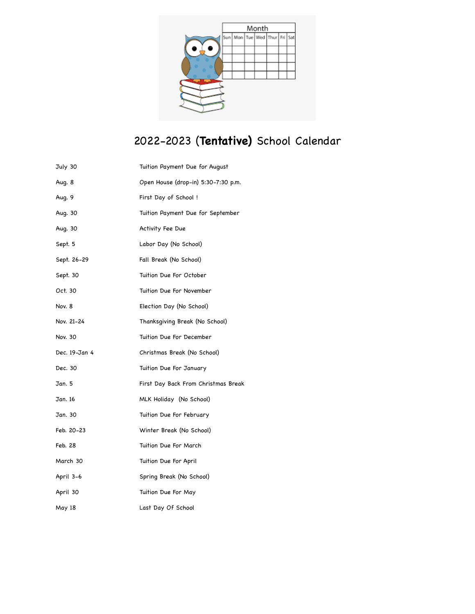

# 2022-2023 (**Tentative)** School Calendar

| July 30       | Tuition Payment Due for August      |
|---------------|-------------------------------------|
| Aug. 8        | Open House (drop-in) 5:30-7:30 p.m. |
| Aug. 9        | First Day of School !               |
| Aug. 30       | Tuition Payment Due for September   |
| Aug. 30       | Activity Fee Due                    |
| Sept. 5       | Labor Day (No School)               |
| Sept. 26-29   | Fall Break (No School)              |
| Sept. 30      | Tuition Due For October             |
| Oct. 30       | Tuition Due For November            |
| Nov. 8        | Election Day (No School)            |
| Nov. 21-24    | Thanksqiving Break (No School)      |
| Nov. 30       | Tuition Due For December            |
| Dec. 19-Jan 4 | Christmas Break (No School)         |
| Dec. 30       | Tuition Due For January             |
| Jan. 5        | First Day Back From Christmas Break |
| Jan. 16       | MLK Holiday (No School)             |
| Jan. 30       | Tuition Due For February            |
| Feb. 20-23    | Winter Break (No School)            |
| Feb. 28       | Tuition Due For March               |
| March 30      | Tuition Due For April               |
| April 3-6     | Spring Break (No School)            |
| April 30      | Tuition Due For May                 |
| May 18        | Last Day Of School                  |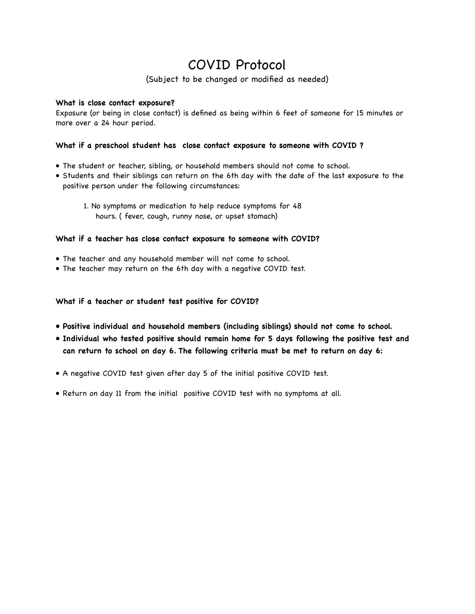## COVID Protocol

(Subject to be changed or modified as needed)

## **What is close contact exposure?**

Exposure (or being in close contact) is defined as being within 6 feet of someone for 15 minutes or more over a 24 hour period.

## **What if a preschool student has close contact exposure to someone with COVID ?**

- The student or teacher, sibling, or household members should not come to school.
- Students and their siblings can return on the 6th day with the date of the last exposure to the positive person under the following circumstances:

 1. No symptoms or medication to help reduce symptoms for 48 hours. ( fever, cough, runny nose, or upset stomach)

#### **What if a teacher has close contact exposure to someone with COVID?**

- The teacher and any household member will not come to school.
- The teacher may return on the 6th day with a negative COVID test.

#### **What if a teacher or student test positive for COVID?**

- **• Positive individual and household members (including siblings) should not come to school.**
- **• Individual who tested positive should remain home for 5 days following the positive test and can return to school on day 6. The following criteria must be met to return on day 6:**
- A negative COVID test given after day 5 of the initial positive COVID test.
- Return on day 11 from the initial positive COVID test with no symptoms at all.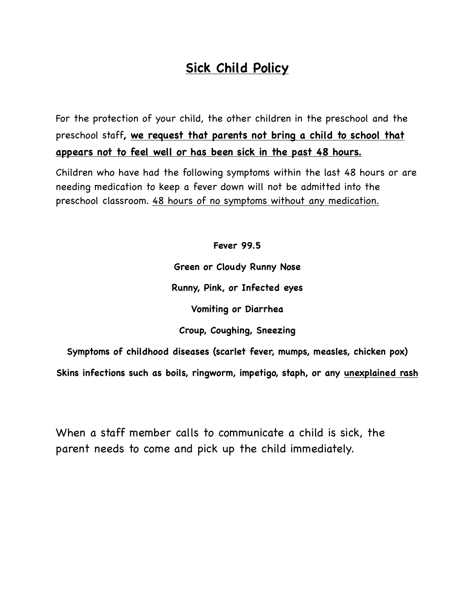# **Sick Child Policy**

For the protection of your child, the other children in the preschool and the preschool staff**, we request that parents not bring a child to school that appears not to feel well or has been sick in the past 48 hours.**

Children who have had the following symptoms within the last 48 hours or are needing medication to keep a fever down will not be admitted into the preschool classroom. 48 hours of no symptoms without any medication.

> **Fever 99.5 Green or Cloudy Runny Nose Runny, Pink, or Infected eyes Vomiting or Diarrhea Croup, Coughing, Sneezing**

**Symptoms of childhood diseases (scarlet fever, mumps, measles, chicken pox)**

**Skins infections such as boils, ringworm, impetigo, staph, or any unexplained rash**

When a staff member calls to communicate a child is sick, the parent needs to come and pick up the child immediately.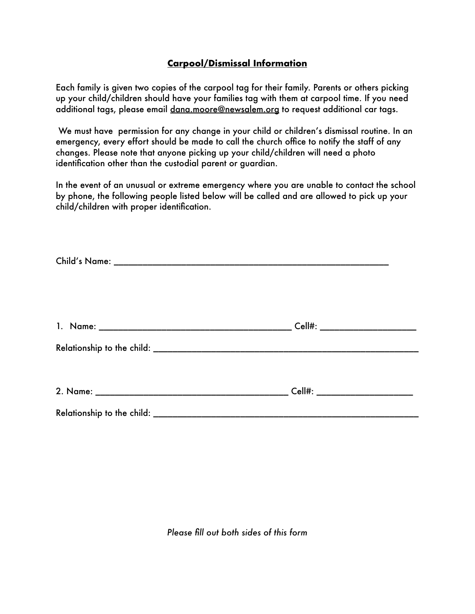## **Carpool/Dismissal Information**

Each family is given two copies of the carpool tag for their family. Parents or others picking up your child/children should have your families tag with them at carpool time. If you need additional tags, please email dana.moore@newsalem.org to request additional car tags.

 We must have permission for any change in your child or children's dismissal routine. In an emergency, every effort should be made to call the church office to notify the staff of any changes. Please note that anyone picking up your child/children will need a photo identification other than the custodial parent or guardian.

In the event of an unusual or extreme emergency where you are unable to contact the school by phone, the following people listed below will be called and are allowed to pick up your child/children with proper identification.

*Please fill out both sides of this form*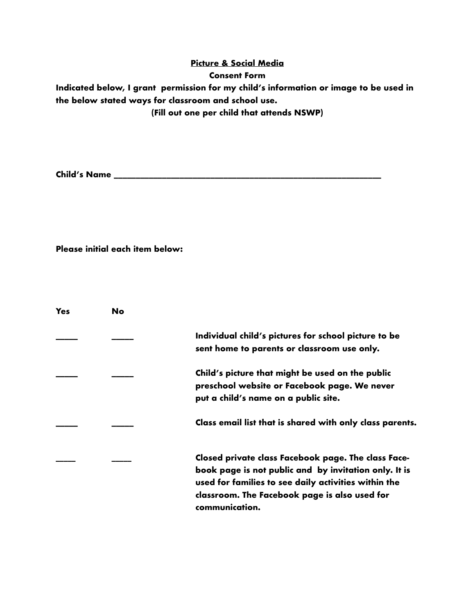## **Picture & Social Media**

## **Consent Form**

**Indicated below, I grant permission for my child's information or image to be used in the below stated ways for classroom and school use.** 

**(Fill out one per child that attends NSWP)**

**Child's Name \_\_\_\_\_\_\_\_\_\_\_\_\_\_\_\_\_\_\_\_\_\_\_\_\_\_\_\_\_\_\_\_\_\_\_\_\_\_\_\_\_\_\_\_\_\_\_\_\_\_\_\_\_\_\_\_\_\_\_\_\_**

**Please initial each item below:**

| Yes | <b>No</b> |                                                                                                                                                                                                                                         |
|-----|-----------|-----------------------------------------------------------------------------------------------------------------------------------------------------------------------------------------------------------------------------------------|
|     |           | Individual child's pictures for school picture to be<br>sent home to parents or classroom use only.                                                                                                                                     |
|     |           | Child's picture that might be used on the public<br>preschool website or Facebook page. We never<br>put a child's name on a public site.                                                                                                |
|     |           | Class email list that is shared with only class parents.                                                                                                                                                                                |
|     |           | Closed private class Facebook page. The class Face-<br>book page is not public and by invitation only. It is<br>used for families to see daily activities within the<br>classroom. The Facebook page is also used for<br>communication. |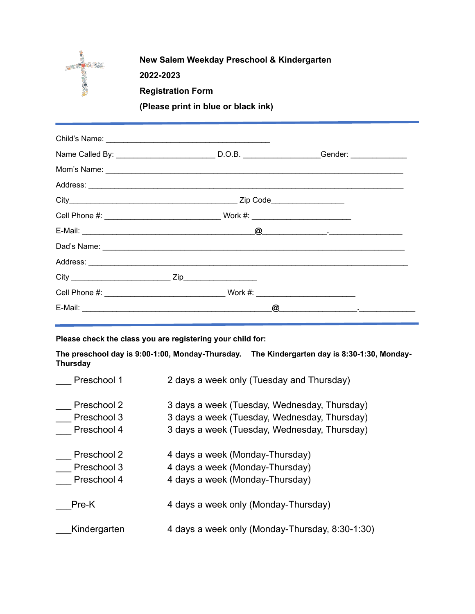

## **New Salem Weekday Preschool & Kindergarten**

**2022-2023**

**Registration Form**

**(Please print in blue or black ink)**

| Name Called By: ______________________________D.O.B. _________________Gender: ______________ |                                                                 |
|----------------------------------------------------------------------------------------------|-----------------------------------------------------------------|
|                                                                                              |                                                                 |
|                                                                                              |                                                                 |
|                                                                                              |                                                                 |
|                                                                                              |                                                                 |
|                                                                                              |                                                                 |
|                                                                                              |                                                                 |
|                                                                                              |                                                                 |
|                                                                                              |                                                                 |
|                                                                                              |                                                                 |
|                                                                                              | $\omega$ . The contract of $\omega$ is the contract of $\omega$ |

**Please check the class you are registering your child for:**

**The preschool day is 9:00-1:00, Monday-Thursday. The Kindergarten day is 8:30-1:30, Monday-Thursday**

| Preschool 1  | 2 days a week only (Tuesday and Thursday)       |  |  |
|--------------|-------------------------------------------------|--|--|
| Preschool 2  | 3 days a week (Tuesday, Wednesday, Thursday)    |  |  |
| Preschool 3  | 3 days a week (Tuesday, Wednesday, Thursday)    |  |  |
| Preschool 4  | 3 days a week (Tuesday, Wednesday, Thursday)    |  |  |
| Preschool 2  | 4 days a week (Monday-Thursday)                 |  |  |
| Preschool 3  | 4 days a week (Monday-Thursday)                 |  |  |
| Preschool 4  | 4 days a week (Monday-Thursday)                 |  |  |
| Pre-K        | 4 days a week only (Monday-Thursday)            |  |  |
| Kindergarten | 4 days a week only (Monday-Thursday, 8:30-1:30) |  |  |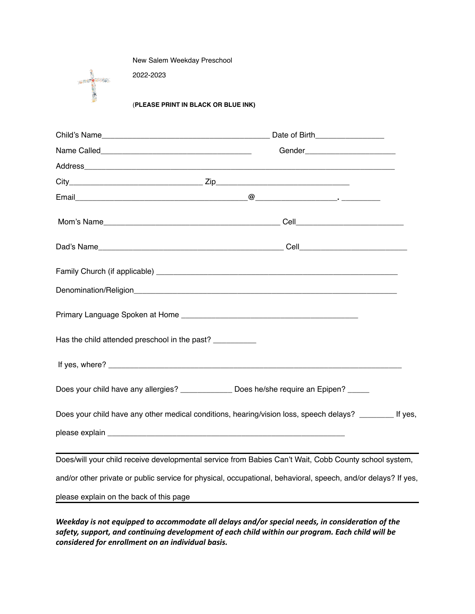New Salem Weekday Preschool

2022-2023



(**PLEASE PRINT IN BLACK OR BLUE INK)**

|                                         | Gender__________________________                                                                                                                                                                                                     |  |  |
|-----------------------------------------|--------------------------------------------------------------------------------------------------------------------------------------------------------------------------------------------------------------------------------------|--|--|
|                                         |                                                                                                                                                                                                                                      |  |  |
|                                         |                                                                                                                                                                                                                                      |  |  |
|                                         |                                                                                                                                                                                                                                      |  |  |
|                                         |                                                                                                                                                                                                                                      |  |  |
|                                         | Dad's Name <b>Cell Contract Contract Contract Contract Contract Contract Contract Contract Contract Contract Contract Contract Contract Contract Contract Contract Contract Contract Contract Contract Contract Contract Contrac</b> |  |  |
|                                         |                                                                                                                                                                                                                                      |  |  |
|                                         |                                                                                                                                                                                                                                      |  |  |
|                                         |                                                                                                                                                                                                                                      |  |  |
|                                         | Has the child attended preschool in the past? _________                                                                                                                                                                              |  |  |
|                                         | If yes, where? experience the contract of the contract of the contract of the contract of the contract of the contract of the contract of the contract of the contract of the contract of the contract of the contract of the        |  |  |
|                                         | Does your child have any allergies? ____________ Does he/she require an Epipen? ____                                                                                                                                                 |  |  |
|                                         | Does your child have any other medical conditions, hearing/vision loss, speech delays? ________ If yes,                                                                                                                              |  |  |
|                                         |                                                                                                                                                                                                                                      |  |  |
|                                         | Does/will your child receive developmental service from Babies Can't Wait, Cobb County school system,                                                                                                                                |  |  |
|                                         | and/or other private or public service for physical, occupational, behavioral, speech, and/or delays? If yes,                                                                                                                        |  |  |
| please explain on the back of this page |                                                                                                                                                                                                                                      |  |  |

*Weekday is not equipped to accommodate all delays and/or special needs, in consideration of the safety, support, and continuing development of each child within our program. Each child will be considered for enrollment on an individual basis.*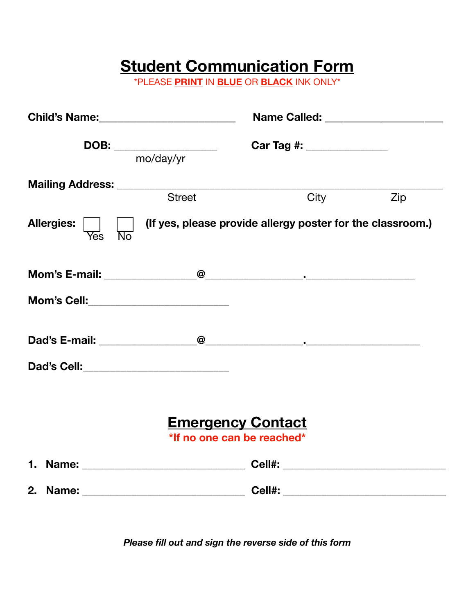# **Student Communication Form**

\*PLEASE **PRINT** IN **BLUE** OR **BLACK** INK ONLY\*

|                                                |                                                        | Name Called: _____________________                         |     |
|------------------------------------------------|--------------------------------------------------------|------------------------------------------------------------|-----|
| DOB: _________________<br>mo/day/yr            |                                                        | Car Tag #: ______________                                  |     |
|                                                | <b>Street</b>                                          | City                                                       | Zip |
| Allergies: Ves No                              |                                                        | (If yes, please provide allergy poster for the classroom.) |     |
|                                                |                                                        |                                                            |     |
| <b>Mom's Cell:____________________________</b> |                                                        |                                                            |     |
|                                                |                                                        |                                                            |     |
| Dad's Cell:_____________________________       |                                                        |                                                            |     |
|                                                | <b>Emergency Contact</b><br>*If no one can be reached* |                                                            |     |
|                                                |                                                        |                                                            |     |
|                                                |                                                        |                                                            |     |

*Please fill out and sign the reverse side of this form*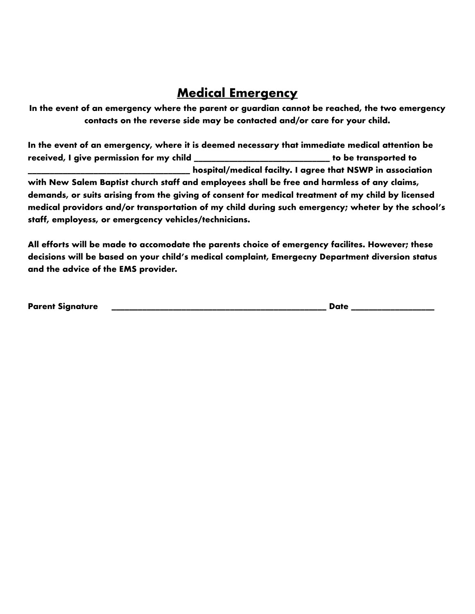## **Medical Emergency**

**In the event of an emergency where the parent or guardian cannot be reached, the two emergency contacts on the reverse side may be contacted and/or care for your child.**

**In the event of an emergency, where it is deemed necessary that immediate medical attention be received, I give permission for my child \_\_\_\_\_\_\_\_\_\_\_\_\_\_\_\_\_\_\_\_\_\_\_\_\_\_\_\_\_\_\_ to be transported to \_\_\_\_\_\_\_\_\_\_\_\_\_\_\_\_\_\_\_\_\_\_\_\_\_\_\_\_\_\_\_\_\_\_\_\_\_ hospital/medical facilty. I agree that NSWP in association with New Salem Baptist church staff and employees shall be free and harmless of any claims, demands, or suits arising from the giving of consent for medical treatment of my child by licensed medical providors and/or transportation of my child during such emergency; wheter by the school's staff, employess, or emergcency vehicles/technicians.**

**All efforts will be made to accomodate the parents choice of emergency facilites. However; these decisions will be based on your child's medical complaint, Emergecny Department diversion status and the advice of the EMS provider.**

**Parent Signature \_\_\_\_\_\_\_\_\_\_\_\_\_\_\_\_\_\_\_\_\_\_\_\_\_\_\_\_\_\_\_\_\_\_\_\_\_\_\_\_\_\_\_\_\_\_\_\_\_ Date \_\_\_\_\_\_\_\_\_\_\_\_\_\_\_\_\_\_\_**